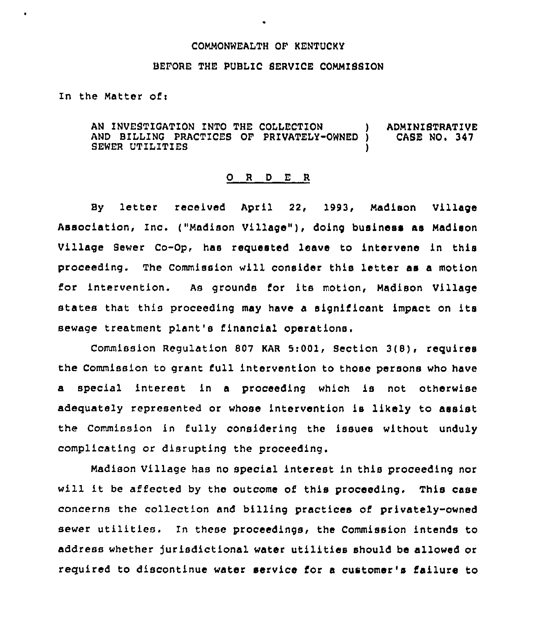## COMMONWEALTH OF KENTUCKY

## BEFORE THE PUBLIC SERVICE COMMISSION

In the Matter ofi

AN INVESTIGATION INTO THE COLLECTION ) ADMINISTRATIVE AND BILLING PRACTICES OF PRIVATELY-OWNED ) SEWER UTILITIES

## 0 <sup>R</sup> <sup>D</sup> E <sup>R</sup>

By letter received April 22, 1993, Madison Village Association, Inc. ("Madison Village" ), doing business as Madison Village Sewer Co-Op, has requested leave to intervene in this proceeding. The Commission will consider this letter as a motion for intervention. As grounds for its motion, Madison Village states that this proceeding may have <sup>a</sup> significant impact on its sewage treatment plant's financial operations.

Commission Regulation 807 KAR 5:001, Section 3(8), requires the Commission to grant full intervention to those persons who have a special interest in a proceeding which is not otherwise adequately represented or whose intervention is likely to assist the Commission in fully considering the issues without unduly complicating or disrupting the proceeding.

Madison Village has no special interest in this proceeding nor will it be affected by the outcome of this proceeding. This case concerns the collection and billing practices of privately-owned sewer utilities. In these proceedings, the Commission intends to address whether Jurisdictional water utilities should be allowed or required to discontinue water service for a customer's failure to